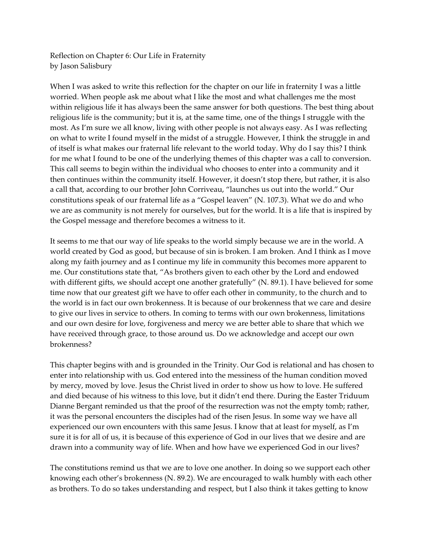Reflection on Chapter 6: Our Life in Fraternity by Jason Salisbury

When I was asked to write this reflection for the chapter on our life in fraternity I was a little worried. When people ask me about what I like the most and what challenges me the most within religious life it has always been the same answer for both questions. The best thing about religious life is the community; but it is, at the same time, one of the things I struggle with the most. As I'm sure we all know, living with other people is not always easy. As I was reflecting on what to write I found myself in the midst of a struggle. However, I think the struggle in and of itself is what makes our fraternal life relevant to the world today. Why do I say this? I think for me what I found to be one of the underlying themes of this chapter was a call to conversion. This call seems to begin within the individual who chooses to enter into a community and it then continues within the community itself. However, it doesn't stop there, but rather, it is also a call that, according to our brother John Corriveau, "launches us out into the world." Our constitutions speak of our fraternal life as a "Gospel leaven" (N. 107.3). What we do and who we are as community is not merely for ourselves, but for the world. It is a life that is inspired by the Gospel message and therefore becomes a witness to it.

It seems to me that our way of life speaks to the world simply because we are in the world. A world created by God as good, but because of sin is broken. I am broken. And I think as I move along my faith journey and as I continue my life in community this becomes more apparent to me. Our constitutions state that, "As brothers given to each other by the Lord and endowed with different gifts, we should accept one another gratefully" (N. 89.1). I have believed for some time now that our greatest gift we have to offer each other in community, to the church and to the world is in fact our own brokenness. It is because of our brokenness that we care and desire to give our lives in service to others. In coming to terms with our own brokenness, limitations and our own desire for love, forgiveness and mercy we are better able to share that which we have received through grace, to those around us. Do we acknowledge and accept our own brokenness?

This chapter begins with and is grounded in the Trinity. Our God is relational and has chosen to enter into relationship with us. God entered into the messiness of the human condition moved by mercy, moved by love. Jesus the Christ lived in order to show us how to love. He suffered and died because of his witness to this love, but it didn't end there. During the Easter Triduum Dianne Bergant reminded us that the proof of the resurrection was not the empty tomb; rather, it was the personal encounters the disciples had of the risen Jesus. In some way we have all experienced our own encounters with this same Jesus. I know that at least for myself, as I'm sure it is for all of us, it is because of this experience of God in our lives that we desire and are drawn into a community way of life. When and how have we experienced God in our lives?

The constitutions remind us that we are to love one another. In doing so we support each other knowing each other's brokenness (N. 89.2). We are encouraged to walk humbly with each other as brothers. To do so takes understanding and respect, but I also think it takes getting to know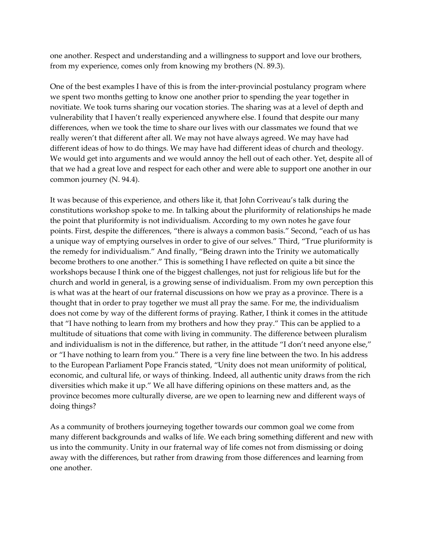one another. Respect and understanding and a willingness to support and love our brothers, from my experience, comes only from knowing my brothers (N. 89.3).

One of the best examples I have of this is from the inter-provincial postulancy program where we spent two months getting to know one another prior to spending the year together in novitiate. We took turns sharing our vocation stories. The sharing was at a level of depth and vulnerability that I haven't really experienced anywhere else. I found that despite our many differences, when we took the time to share our lives with our classmates we found that we really weren't that different after all. We may not have always agreed. We may have had different ideas of how to do things. We may have had different ideas of church and theology. We would get into arguments and we would annoy the hell out of each other. Yet, despite all of that we had a great love and respect for each other and were able to support one another in our common journey (N. 94.4).

It was because of this experience, and others like it, that John Corriveau's talk during the constitutions workshop spoke to me. In talking about the pluriformity of relationships he made the point that pluriformity is not individualism. According to my own notes he gave four points. First, despite the differences, "there is always a common basis." Second, "each of us has a unique way of emptying ourselves in order to give of our selves." Third, "True pluriformity is the remedy for individualism." And finally, "Being drawn into the Trinity we automatically become brothers to one another." This is something I have reflected on quite a bit since the workshops because I think one of the biggest challenges, not just for religious life but for the church and world in general, is a growing sense of individualism. From my own perception this is what was at the heart of our fraternal discussions on how we pray as a province. There is a thought that in order to pray together we must all pray the same. For me, the individualism does not come by way of the different forms of praying. Rather, I think it comes in the attitude that "I have nothing to learn from my brothers and how they pray." This can be applied to a multitude of situations that come with living in community. The difference between pluralism and individualism is not in the difference, but rather, in the attitude "I don't need anyone else," or "I have nothing to learn from you." There is a very fine line between the two. In his address to the European Parliament Pope Francis stated, "Unity does not mean uniformity of political, economic, and cultural life, or ways of thinking. Indeed, all authentic unity draws from the rich diversities which make it up." We all have differing opinions on these matters and, as the province becomes more culturally diverse, are we open to learning new and different ways of doing things?

As a community of brothers journeying together towards our common goal we come from many different backgrounds and walks of life. We each bring something different and new with us into the community. Unity in our fraternal way of life comes not from dismissing or doing away with the differences, but rather from drawing from those differences and learning from one another.